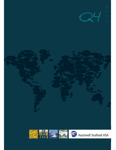

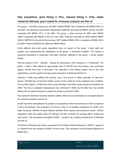# New acquisitions, good fishing in Peru, reduced fishing in Chile, stable market for fishmeal, good market for consumer products and fish oil

The group' s (AUSS) revenues for Q4 2007 totalled MNOK 720.0 compared with MNOK 887.4 in Q4 2006. The operating result before depreciation (EBITDA) amounted to MNOK 22.6 for Q4 2007 compared with MNOK 167.4 in Q4 2006. The group' s total revenues for 2007 were MNOK 3469.0 compared with MNOK 2732.6 for year 2006. Proforma revenues for 2006 totalled MNOK 3480.8. EBITDA for the entire financial year 2007 totalled MNOK 483.4 compared to MNOK 482.4 for 2006. Proforma EBITDA for 2006 was MNOK 699.8.

Catch patterns and catch quota regulations have an impact on the group' s total catch per quarter, and subsequently the exploitation of the group' s production facilities. This results in seasonal fluctuations in production and sales volumes, reflected in the group' s fourth quarter results.

The last season of the " Olympic" fishing for anchoveta in Peru started on 17 November. The group' s fleet in Peru fished an approximate total of 155,000 tons this season, and purchased approx. 40,000 tons from a third party. The execution of the fishing season was in line with expectations, and the quarter has seen good production of fishmeal and fish oil.

Catches in Chile were difficult this autumn, due to the arrival of colder seawater. At year-end, approx. 250,000 tons of the total Chilean quota (in the south) for horse mackerel was unutilised. For our fleet, approx. 10,000 tons of the quota remained, and these quota cannot be transferred to 2008. The drop in seawater temperatures has continued in 2008, but the fleet has now started fishing and we expect the group to exploit its quotas as normal in 2008.

The market for fishmeal has been relatively stable, while we have witnessed an increased demand for consumer products and fish oil.

AUSS has further strengthened its position via acquisitions within the fishmeal and fish oil segment in Peru and Norway. The acquisition of Cormar in Peru is of strategic importance for AUSS, as it helps the group maintain its good balance between fleet capacity and production plants. Vertical integration within the supply chain for fishmeal and fish oil allows for synergy effect, quality and cost control. The acquisitions strengthen AUSS' s position as a leading manufacturer of fishmeal and fish oil.

The Board of Directors will make a proposal to the Ordinary General Meeting in 2008 for payment of dividend from the company of NOK 0,30 per share. This represents a total dividend payment of MNOK 55,3.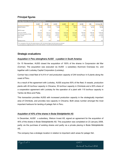## Principal figures

| Key figures Austevoll Seafood ASA                                                                                      |                |                     |           |               |               |                |           |                |
|------------------------------------------------------------------------------------------------------------------------|----------------|---------------------|-----------|---------------|---------------|----------------|-----------|----------------|
|                                                                                                                        | <b>1O 2007</b> | O <sub>2</sub> 2007 | Q3 2007   | Q4 2007       | 2007          | <b>O4 2006</b> | 2006      | Pro forma 2006 |
| Operating income (TNOK) *                                                                                              | 847982         | 886 360             | 1014638   | 719 978       | 3 468 957     | 887 377        | 2 732 629 | 3 480 828      |
| EBITDA (TNOK) *                                                                                                        | 136 530        | 265 013             | 59 240    | 22 629        | 483 411       | 167414         | 482 365   | 699 846        |
| EBITDA margin                                                                                                          | 16 %           | 30 %                | 6 %       | 3 %           | 14 %          | 20 %           | 18 %      | 20 %           |
| Total assets (TNOK)                                                                                                    | 8 8 6 7 5 8 4  | 9 0 5 3 7 3 2       | 8 459 814 | 8 8 1 3 0 3 0 | 8 8 1 3 0 3 0 | 6 846 306      | 6 846 306 | 6 846 306      |
| Net interest bearing debt (TNOK)                                                                                       | 1975 521       | 2 046 738           | 1768867   | 2 5 14 7 9 2  | 2 5 14 7 9 2  | 515445         | 515 445   | 515 445        |
| Equity (TNOK)                                                                                                          | 4 2 5 2 1 3 3  | 4 3 1 4 4 9 2       | 4 178 551 | 4 2 2 8 6 1 1 | 4 2 2 8 6 1 1 | 3 637 000      | 3 637 000 | 3 637 000      |
| Equity ratio                                                                                                           | 48 %           | 48 %                | 49 %      | 48 %          | 48 %          | 53 %           | 53 %      | 53 %           |
|                                                                                                                        |                |                     |           |               |               |                |           |                |
| Earnings per share                                                                                                     | 2,02           | 0,49                | (0,01)    | 0,29          | 2,77          | 0,45           | 1,82      | 2,83           |
| * As a consequense of the sale of the salmon business in 2007, the historical figures from this business are disclosed |                |                     |           |               |               |                |           |                |

as a net amount on a single line on the face of the income statement, "net profit from discontinued operations".

## Strategic evaluations

#### Acquisition in Peru strengthens AUSS' s position in South America

On 15 November, AUSS closed the acquisition of 100% of the shares in Corporacion del Mar (Cormar). The acquisition was executed via AUSS' s subsidiary Alumrock Overseas Inc. and together with Locksley Capital Corporation (Locksley).

Cormar has a total fleet of 4,414  $m<sup>3</sup>$  and production capacity of 244 tons/hour in 6 plants along the coast of Peru.

As a result of the agreement with Locksley, AUSS acquires 50% of the fleet, 6 vessels, production plants with 45 ton/hour capacity in Chicama, 35 ton/hour capacity in Chimbote and a 50% share of a cooperation agreement with Locksley for the operation of a plant with 115 ton/hour capacity in Tambo de Mora and Paita.

This transaction provides AUSS with increased production capacity in the strategically important area of Chimbote, and provides new capacity in Chicama. Both areas number amongst the most important harbours for landing of pelagic fish in Peru.

#### Acquisition of 40% of the shares in Bodø Sildoljefabrikk AS

In December, AUSS' s subsidiary, Welcon Invest AS, signed an agreement for the acquisition of 40% of the shares in Bodø Sildoljefabrikk AS. This acquisition was completed on 23 January 2008, partly via the purchase of existing shares and partly via a private placing in Bodø Sildoljefabrikk AS.

The company has a strategic location in relation to important catch areas for pelagic fish.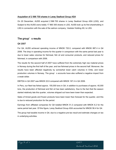#### Acquisition of 2 566 700 shares in Lerøy Seafood Group ASA

On 20 December, AUSS acquired 2 566 700 shares in Lerøy Seafood Group ASA (LSG), and Subject to this AUSS owns totally 17 860 300 shares in LSG. AUSS took up its first shareholding in LSG in connection with the sale of the salmon company, Veststar Holding AS, to LSG.

#### The group' s results

#### Q4 2007

For Q4, AUSS achieved operating income of MNOK 720.0, compared with MNOK 887.4 in Q4 2006. The drop in operating income for the quarter in comparison with the same period last year is due to lower sales volumes for fishmeal, fish oil and consumer products, and reduced prices for fishmeal, in comparison with 2006.

The results for the second half of 2007 have suffered from the extremely high raw material prices in Norway during the first half of the year, and low fishmeal prices in the second half. Moreover, the results have been affected negatively by somewhat lower catch volumes in Chile, and lower production volumes in Norway. The group' s accounts have also suffered a negative impact from a weak dollar.

EBITDA in Q4 2007 was MNOK 22.6 compared with MNOK 167.4 in Q4 2006.

In Peru, our fleet has fished approx. 155,000 tons in Q4, in addition to purchases of approx. 40,000 tons, the production of fishmeal and fish oil has been satisfactory. Due to the fact that the season started relatively late this quarter, volumes shipped out have been lower than expected.

Sales of tinned goods and frozen products have been lower than forecast for the quarter, and this is due to reduced production for the period.

Earnings from affiliated companies for Q4 totalled MNOK 51,3 compared with MNOK 6.2 for the same period last year. Of this figure, Lerøy Seafood Group ASA accounted for MNOK 56.4 for Q4.

The group had taxable income in Q4, due to a negative pre-tax result and estimate changes on tax in underlying activities.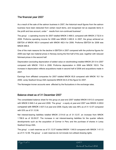## The financial year 2007

As a result of the sale of the salmon business in 2007, the historical result figures from the salmon business have been deducted from certain result items, and recognised net as separate items in the profit and loss account, under " results from non-continued business".

The group' s operating income for 2007 totalled MNOK 3 468.9, compared with MNOK 2 732.6 in 2006. Proforma operating income for 2006 was MNOK 3 480.8. In 2007, the group achieved an EBITDA of MNOK 483.4 compared with MNOK 482.4 for 2006. Proforma EBITDA for 2006 was MNOK 699.8.

One of the main reasons for the decline in EBITDA in 2007 compared with the proforma figures for 2006 was high raw material prices in Norway during the first half of the year, together with reduced fishmeal prices in the second half.

Depreciation (excluding depreciation of added value on stockholding) totalled MNOK 201.9 in 2007 compared with MNOK 116.8 in 2006. Proforma depreciation in 2006 was MNOK 183.9. The increase in depreciation reflects acquisitions made in second half of 2006 and acquisitions made in 2007.

Earnings from affiliated companies for 2007 totalled MNOK 65,8 compared with MNOK 16.1 for 2006. Lerøy Seafood Group ASA represents MNOK 64.6 of this figure for 2007.

The Norwegian kroner accounts were affected by the fluctuations in the exchange rates.

### Balance sheet as of 31 December 2007

The consolidated balance sheet for the group at year-end 2007 totalled MNOK 8 813.0 compared with MNOK 6 846.3 at year-end 2006. The group' s equity at year-end 2007 was MNOK 4 228,6 compared with MNOK 3 637.0 at year-end 2006. Equity ratio was 48% as of 31.12.07 compared with 53% as of 31.12.06.

Net interest-bearing liabilities totalled MNOK 2 514.8 as of 31.12.07, an increase from MNOK 1 768.9 as of 30.09.07. The increase in net interest-bearing liabilities for the quarter reflects developments such as the acquisition of Cormar in Peru and the purchase of shares in Lerøy Seafood Group ASA.

The group' s cash reserves as of 31.12.07 totalled MNOK 1 040.9 compared with MNOK 1 411.5 as of 31.12.06. The group' s cash reserves do not include non-utilised drawing rights.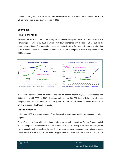Included in the group' s figure for short-term liabilities of MNOK 1 650.5, an amount of MNOK 330 will be transferred to long-term liabilities in 2008.

### **Segments**

#### Fishmeal and fish oil

Fishmeal prices in Q4 2007 saw a significant decline compared with Q4 2006. 64/65% CIF Hamburg prices were USD 1095 in week 50 of 2007, compared with a price of USD 1251 for the same period in 2006. The market has remained relatively stable for the fourth quarter, and to date in 2008. Fish oil prices have shown an increase in Q4, but the impact of this will only reflect on the 2008 accounts.



In Q4 2007, sales volumes for fishmeal and fish oil totalled approx. 49,000 tons compared with 59,000 tons in Q4 2006. In 2007, the group sold approx. 300,000 tons of fishmeal and fish oil compared with 288,000 tons in 2006. The figures for 2006 do not reflect Karmsund Fiskemel AS which was acquired in December 2006.

#### Consumer products

In January 2007, the group acquired Epax AS which was grouped under the consumer products segment.

Epax AS is one of the world' s leading manufacturers of high-concentrate Omega 3 based on fish oil. The company currently utilises approx. 5,000 tons of fish oil, mainly from South America, which they process to high-concentrate Omega 3 via a unique stripping technology and refining process. These products are mainly sold as dietary supplements and food additives (nutraceuticals) and to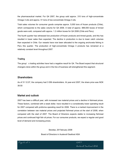the pharmaceutical market. For Q4 2007, the group sold approx. 310 tons of high-concentrate Omega 3 oils and approx. 51 tons of low-concentrate Omega 3 oils.

Total sales volumes for consumer goods comprise approx. 5,000 tons of frozen products (Chile), which corresponds to the sales volume for Q4 2006. A total of approx. 889,000 boxes of tinned goods were sold, compared with approx. 1.2 million boxes for Q4 2006 (Chile and Peru).

The fourth quarter has witnessed low production of frozen products and tinned goods, and this has resulted in lower sales than expected. The decline in production is due to lower catch volumes than expected in Chile. Our vessels have now been allocated to the ongoing anchoveta fishing in Peru this quarter. The production of high-concentrate Omega 3 products has remained at a relatively constant level throughout 2007.

#### **Trading**

The group' s trading activities have had a negative result for Q4. The Board expect that structural changers done within the group and in the line of business will strengthened this segment.

### **Shareholders**

As of 31.12.07, the company had 3 056 shareholders. At year-end 2007, the share price was NOK 39.50

### Market and outlook

2007 has been a difficult year, with increased raw material prices and a decline in fishmeal prices. These factors, combined with a weak dollar, have resulted in a considerably lower operating result for 2007 compared with proforma operating result for 2006. There is a marked improvement in the correlation between raw material prices and projected fishmeal prices at the start of 2008, when compared with the start of 2007. The Board of Directors expects stable to increasing fishmeal prices and continued high fish oil prices. For our consumer products, we expect a regular and good level of demand and increasing prices.

Storebø, 29 February 2008

Board of Directors in Austevoll Seafood ASA



Austevoll Seafood ASA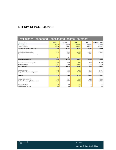# INTERIM REPORT Q4 2007

| <b>Preliminary Condensed Consolidated Income Statement</b>                   |                               |                                |                                |                              |                               |  |
|------------------------------------------------------------------------------|-------------------------------|--------------------------------|--------------------------------|------------------------------|-------------------------------|--|
| All figures in NOK 1.000                                                     | O4 2007                       | O4 2006                        | 2007                           | 2006                         | Pro forma<br>2006             |  |
| Operating income                                                             | 719 978                       | 887 377                        | 3 468 957                      | 2 732 629                    | 3 480 828                     |  |
| Operating expenses                                                           | $-697349$                     | $-719963$                      | $-2985546$                     | $-2250264$                   | $-2780982$                    |  |
| Op.profit bef. deprec. (EBITDA)                                              | 22 629                        | 167 414                        | 483 411                        | 482 365                      | 699 846                       |  |
| Depreciation and amortisation<br>Depreciation of excess value inventory      | $-53181$                      | $-39699$<br>$-16519$           | $-201939$<br>$-3000$           | $-116781$<br>$-140221$       | $-183931$                     |  |
| <b>Operating profit (EBIT)</b>                                               | -30 552                       | 111 196                        | 278 471                        | 225 363                      | 515 915                       |  |
| Income from associated companies<br>Net financial items<br>Profit before tax | 51 276<br>$-27657$<br>$-6933$ | 6 2 2 2<br>$-11087$<br>106 331 | 65 758<br>$-128613$<br>215 616 | 16 072<br>$-47687$<br>193748 | 16 072<br>$-70924$<br>461 063 |  |
| Income tax expense<br>Net profit from discontinued operations                | 50 527<br>10 623              | $-30716$<br>10 0 29            | $-32343$<br>324 273            | $-35421$<br>108 338          | $-86897$<br>102 541           |  |
| Net profit                                                                   | 54 217                        | 85 644                         | 507 546                        | 266 665                      | 476 707                       |  |
| Profit to minority interests<br>Profit attribut. to equity holders of parent | 1 5 5 2<br>52 664             | 6.075<br>79 569                | 8 5 6 3<br>498 983             | 2 2 7 3<br>264 392           | 15 5 46<br>461 161            |  |
| Earnings per share                                                           | 0,29                          | 0,45                           | 2,77                           | 1,82                         | 2,83                          |  |
| Diluted earnings per share                                                   | 0,29                          | 0,45                           | 2,77                           | 1,82                         | 2,83                          |  |

Austevoll Seafood ASA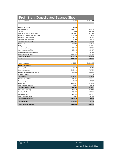| <b>Preliminary Consolidated Balance Sheet</b> |            |            |
|-----------------------------------------------|------------|------------|
| All figures in NOK 1.000                      | 31.12.2007 | 31.12.2006 |
| <b>Assets</b>                                 |            |            |
|                                               |            |            |
| Deferred tax benefit                          | 12 25 2    |            |
| Intangible assets                             | 1 612 247  | 1 385 260  |
| Vessels                                       | 708 906    | 696 978    |
| Other property, plant and equipment           | 1866867    | 1823 119   |
| Investments in associtated companies          | 2 352 440  | 151 658    |
| Investments in other shares                   | 32 124     | 19 7 64    |
| Other long-term receivables                   | 67026      | 70 524     |
| <b>Total non-current assets</b>               | 6 651 863  | 4 147 302  |
| <b>Inventories</b>                            | 528 055    | 434 604    |
| <b>Biological</b> assets                      | $\theta$   | 224 771    |
| Accounts receivable                           | 390 218    | 429 290    |
| Other current receivables                     | 201983     | 188 417    |
| Available-for-sale financial assets           | $\theta$   | 10428      |
| Cash and cash equivalents                     | 1 040 911  | 1411492    |
| <b>Total current assets</b>                   | 2 161 168  | 2 699 003  |
| <b>Total assets</b>                           | 8813030    | 6846306    |
| All figures in NOK 1.000                      | 31.12.2007 | 31.12.2006 |
| <b>Equity and liabilities</b>                 |            |            |
| Share capital                                 | 92 159     | 89 112     |
| Share premium fund                            | 3 083 918  | 2798795    |
| Retained earnings and other reserves          | 965 313    | 665 893    |
| Minority interests                            | 87 221     | 83 200     |
| <b>Total equity</b>                           | 4 228 611  | 3 637 000  |
| Deferred tax liabilities                      | 514762     | 621 381    |
| Pension obligations                           | 18 0 89    | 18 2 8 7   |
| <b>Borrowings</b>                             | 2 380 534  | 1 354 378  |
| Other long-term liabilities                   | 20 5 19    | 28 630     |
| <b>Total non-current liabilities</b>          | 2933904    | 2 022 677  |
| Short term borrowings                         | 937 140    | 233 913    |
| Overdraft facilities                          | 284 538    | 380 540    |
| Accounts payable                              | 267 967    | 367 447    |
| Other current liabilities                     | 160 872    | 204 729    |
| <b>Total current liabilities</b>              | 1650516    | 1 186 629  |
| <b>Total liabilities</b>                      | 4584419    | 3 209 306  |
|                                               | 8813030    | 6846306    |
| <b>Total equity and liabilities</b>           |            |            |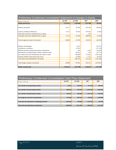| Preliminary Condensed consolidated Statement of changes in Equity |                          |          |           |           |
|-------------------------------------------------------------------|--------------------------|----------|-----------|-----------|
| All figures in NOK 1.000                                          | O4 2007                  | O4 2006  | 2007      | 2006      |
| <b>Equity period start</b>                                        | 4 178 551                | 2920048  | 3 637 000 | 982 045   |
| Profit for the period                                             | 54 217                   | 85 644   | 507 546   | 266 665   |
| Currency translation differences                                  | $-4157$                  | $-554$   | $-187941$ | $-23296$  |
| Other gains and losses charged directly to equity                 |                          |          | $-153$    |           |
| Total gains and losses charged directly to equity                 | $-4157$                  | $-554$   | $-188094$ | $-23296$  |
|                                                                   |                          |          |           |           |
| Total recognised income for the period                            | 50 060                   | 30 190   | 319 452   | 243 369   |
|                                                                   |                          |          |           |           |
| Mergers and demergers                                             |                          | $-6.514$ |           | $-126115$ |
| Acquisition of minorities                                         |                          | $-17852$ |           | $-217139$ |
| Minority interests arising from business combinations             |                          | $-291$   | 2 2 9 1   | 119 365   |
| Revaluation of existing interests related to business comb.       |                          | $-40912$ | $-579$    | 247 774   |
| New equity from cash contributions and contrib. in kind           |                          | 780 000  | 277824    | 2 453 202 |
| Expenses related to share issues (net of tax)                     |                          | $-27669$ | $-7377$   | $-65501$  |
| Total equity from shareholders in the period                      | $\overline{\phantom{a}}$ | 686 762  | 272 159   | 2411586   |
|                                                                   |                          |          |           |           |
| Total change of equity in the period                              | 50 060                   | 716952   | 591 611   | 2 654 955 |
| <b>Equity at period end</b>                                       | 4 2 2 8 6 1 1            | 3637000  | 4 228 611 | 3637000   |

| <b>Preliminary Condensed Consolidated Cash Flow Statement</b> |                |                     |              |            |  |  |
|---------------------------------------------------------------|----------------|---------------------|--------------|------------|--|--|
| All figures in NOK 1.000                                      | <b>Q4 2007</b> | O <sub>4</sub> 2006 | 2007         | 2006       |  |  |
|                                                               |                |                     |              |            |  |  |
| Net cash flow from operating activities                       | 33 415         | 358 391             | 277 166      | 935 647    |  |  |
|                                                               |                |                     |              |            |  |  |
| Net cash flow from investing activities                       | $-668626$      | $-155619$           | $-2$ 195 459 | $-1005463$ |  |  |
|                                                               |                |                     |              |            |  |  |
| Net cash flow from financing activities                       | 259 572        | 492 683             | 1 547 710    | 1 354 816  |  |  |
|                                                               |                |                     |              |            |  |  |
| Net change in cash and cash equivalents                       | $-375639$      | 695 455             | $-370583$    | 1 285 000  |  |  |
|                                                               |                |                     |              |            |  |  |
| Cash and cash equivalents at beginning of period              | 1 416 549      | 716 038             | 1411493      | 126 493    |  |  |
|                                                               |                |                     |              |            |  |  |
| Cash and cash equivalents at period end                       | 1 040 910      | 1411493             | 1 040 910    | 1411493    |  |  |

and the control of the control of the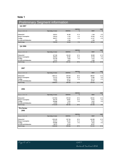## Note 1

# Preliminary Segment information

**Q4 2007**

|                           | <b>EBITDA</b>            |               |               |             |               |  |
|---------------------------|--------------------------|---------------|---------------|-------------|---------------|--|
| All figures in NOK 1.000  | <b>Operating revenue</b> | <b>EBITDA</b> | $\frac{0}{0}$ | <b>EBIT</b> | $\frac{0}{6}$ |  |
|                           |                          |               |               |             |               |  |
| <b>Fishmeal/oil</b>       | 328 011                  | 36 198        | $11\%$        | 1 3 4 4     | $0\%$         |  |
| <b>Human Consumption</b>  | 130 614                  | $-5793$       | $-4\%$        | $-19363$    | $-15 \%$      |  |
| Trading                   | 260 977                  | $-6210$       | $-2\%$        | $-11317$    | $-4\%$        |  |
| Not allocated/elimination | 376                      | $-1,566$      |               | $-1186$     |               |  |
| <b>Total Group</b>        | 719 978                  | 22 629        | $3\%$         | $-30522$    | $-4\%$        |  |
|                           |                          |               |               |             |               |  |

#### **Q4 2006**

|                           |                          |                                |        | <b>EBIT</b> |               |  |
|---------------------------|--------------------------|--------------------------------|--------|-------------|---------------|--|
| All figures in NOK 1.000  | <b>Operating revenue</b> | $\frac{0}{0}$<br><b>EBITDA</b> |        | <b>EBIT</b> | $\frac{0}{0}$ |  |
|                           |                          |                                |        |             |               |  |
| <b>Fishmeal/oil</b>       | 427 360                  | 136 229                        | $32\%$ | 90 690      | 21%           |  |
| <b>Human Consumption</b>  | 209 824                  | 26 20 5                        | $12\%$ | 19758       | 9%            |  |
| <b>Trading</b>            | 323 530                  | 9 0 38                         | 3%     | 6 2 1 2     | $2\%$         |  |
| Not allocated/elimination | -73 337                  | $-4057$                        |        | $-5464$     |               |  |
| <b>Total Group</b>        | 887 377                  | 167 415                        | 19%    | 111 196     | 13 %          |  |
|                           |                          |                                |        |             |               |  |

#### **2007**

| All figures in NOK 1.000  | <b>Operating revenue</b> | <b>EBITDA</b> | <b>EBITDA</b><br>$\frac{0}{0}$ | <b>EBIT</b> | <b>EBIT</b><br>$\frac{0}{0}$ |
|---------------------------|--------------------------|---------------|--------------------------------|-------------|------------------------------|
| <b>Fishmeal/oil</b>       | 2085111                  | 407 874       | 20%                            | 280 957     | 13 %                         |
| <b>Human Consumption</b>  | 751 215                  | 116 398       | $15\%$                         | 57 083      | 8%                           |
| <b>Trading</b>            | 710 287                  | $-24572$      | $-3\%$                         | $-39773$    | $-6\%$                       |
| Not allocated/elimination | -77 656                  | $-16290$      |                                | $-19797$    |                              |
| <b>Total Group</b>        | 3 468 957                | 483 410       | 14 %                           | 278 470     | 8%                           |
|                           |                          |               |                                |             |                              |

#### **2006**

|                           |                          |               | <b>EBITDA</b> |             | <b>EBIT</b>   |
|---------------------------|--------------------------|---------------|---------------|-------------|---------------|
| All figures in NOK 1.000  | <b>Operating revenue</b> | <b>EBITDA</b> | $\frac{0}{0}$ | <b>EBIT</b> | $\frac{0}{0}$ |
| <b>Fishmeal/oil</b>       | 1 367 064                | 397 629       | 29 %          | 185 051     | 14 %          |
| <b>Human Consumption</b>  | 456 378                  | 64 661        | $14\%$        | 27872       | 6%            |
| <b>Trading</b>            | 950 880                  | 3553          | $0\%$         | -4 625      | $0\%$         |
| Not allocated/elimination | -41 693                  | 16 5 21       |               | 17 066      |               |
| <b>Total Group</b>        | 2732629                  | 482 364       | 18 %          | 225 364     | 8%            |
| Pro forma<br>2006         |                          |               |               |             |               |
|                           |                          |               | <b>EBITDA</b> |             | <b>EBIT</b>   |
| All figures in NOK 1.000  | <b>Operating revenue</b> | <b>EBITDA</b> | $\frac{0}{0}$ | <b>EBIT</b> | $\frac{0}{0}$ |
| <b>Fishmeal/oil</b>       | 1995 450                 | 587784        | 29 %          | 461 899     | 23 %          |
| <b>Human Consumption</b>  | 581 073                  | 85 193        | $15\%$        | 38 104      | $7\%$         |
| <b>Trading</b>            | 950 880                  | 3553          | $0\%$         | -4 625      | $0\%$         |
| Not allocated/elimination | $-46575$                 | 23 316        |               | 20 537      |               |
| <b>Total Group</b>        | 3 480 828                | 699 846       | 20%           | 515 915     | 15 %          |
|                           |                          |               |               |             |               |



 $\overline{\phantom{a}}$